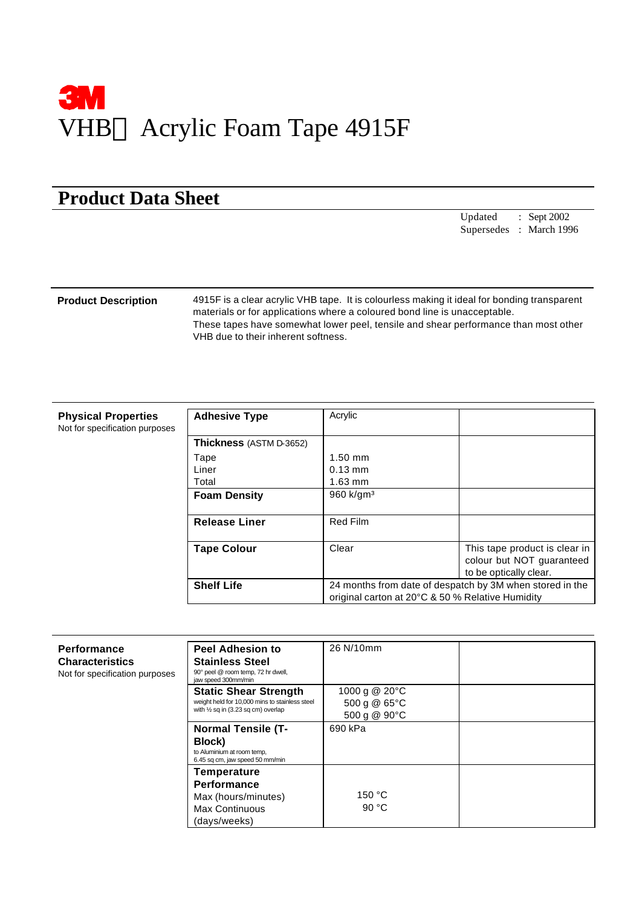

## **Product Data Sheet**

Updated : Sept 2002 Supersedes : March 1996

**Product Description** 4915F is a clear acrylic VHB tape. It is colourless making it ideal for bonding transparent materials or for applications where a coloured bond line is unacceptable. These tapes have somewhat lower peel, tensile and shear performance than most other VHB due to their inherent softness.

| <b>Physical Properties</b><br>Not for specification purposes | <b>Adhesive Type</b>    | Acrylic                                                                                                      |                                                                                      |
|--------------------------------------------------------------|-------------------------|--------------------------------------------------------------------------------------------------------------|--------------------------------------------------------------------------------------|
|                                                              | Thickness (ASTM D-3652) |                                                                                                              |                                                                                      |
|                                                              | Tape                    | $1.50$ mm                                                                                                    |                                                                                      |
|                                                              | Liner                   | $0.13$ mm                                                                                                    |                                                                                      |
|                                                              | Total                   | $1.63$ mm                                                                                                    |                                                                                      |
|                                                              | <b>Foam Density</b>     | 960 k/gm <sup>3</sup>                                                                                        |                                                                                      |
|                                                              | <b>Release Liner</b>    | Red Film                                                                                                     |                                                                                      |
|                                                              | <b>Tape Colour</b>      | Clear                                                                                                        | This tape product is clear in<br>colour but NOT guaranteed<br>to be optically clear. |
|                                                              | <b>Shelf Life</b>       | 24 months from date of despatch by 3M when stored in the<br>original carton at 20°C & 50 % Relative Humidity |                                                                                      |

| <b>Performance</b><br><b>Characteristics</b><br>Not for specification purposes | <b>Peel Adhesion to</b><br><b>Stainless Steel</b><br>90° peel @ room temp, 72 hr dwell,<br>jaw speed 300mm/min                  | 26 N/10mm                                     |  |
|--------------------------------------------------------------------------------|---------------------------------------------------------------------------------------------------------------------------------|-----------------------------------------------|--|
|                                                                                | <b>Static Shear Strength</b><br>weight held for 10,000 mins to stainless steel<br>with $\frac{1}{2}$ sq in (3.23 sq cm) overlap | 1000 g @ 20°C<br>500 g @ 65°C<br>500 g @ 90°C |  |
|                                                                                | <b>Normal Tensile (T-</b><br>Block)<br>to Aluminium at room temp,<br>6.45 sq cm, jaw speed 50 mm/min                            | 690 kPa                                       |  |
|                                                                                | Temperature<br><b>Performance</b><br>Max (hours/minutes)<br><b>Max Continuous</b><br>(days/weeks)                               | 150 °C<br>90 $°C$                             |  |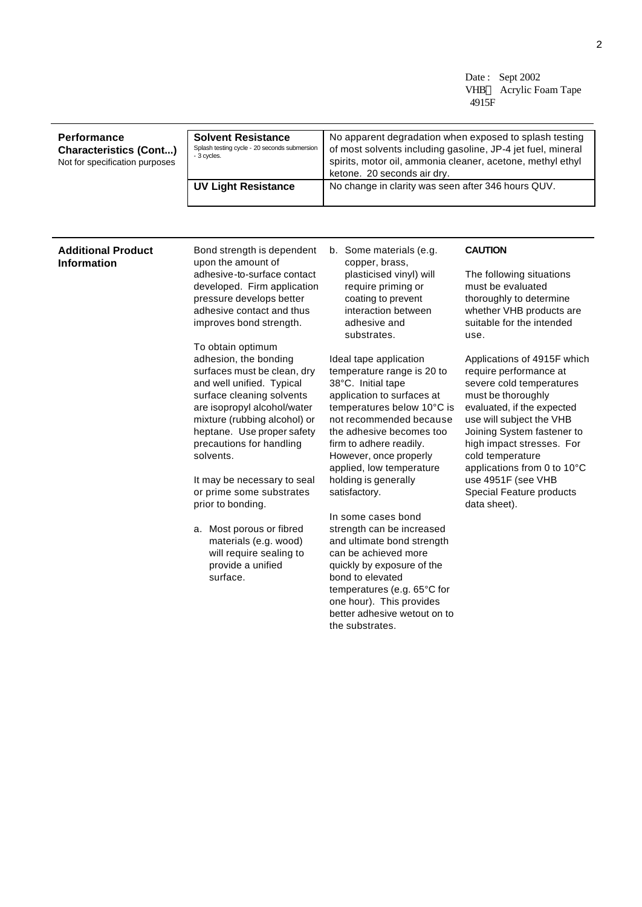Date: Sept 2002 VHB<sup>TM</sup> Acrylic Foam Tape 4915F

| Performance<br><b>Characteristics (Cont)</b><br>Not for specification purposes | <b>Solvent Resistance</b><br>Splash testing cycle - 20 seconds submersion<br>- 3 cycles. | No apparent degradation when exposed to splash testing<br>of most solvents including gasoline, JP-4 jet fuel, mineral<br>spirits, motor oil, ammonia cleaner, acetone, methyl ethyl<br>ketone. 20 seconds air dry. |
|--------------------------------------------------------------------------------|------------------------------------------------------------------------------------------|--------------------------------------------------------------------------------------------------------------------------------------------------------------------------------------------------------------------|
|                                                                                | <b>UV Light Resistance</b>                                                               | No change in clarity was seen after 346 hours QUV.                                                                                                                                                                 |

## **Additional Product Information**

Bond strength is dependent upon the amount of adhesive-to-surface contact developed. Firm application pressure develops better adhesive contact and thus improves bond strength.

To obtain optimum adhesion, the bonding surfaces must be clean, dry and well unified. Typical surface cleaning solvents are isopropyl alcohol/water mixture (rubbing alcohol) or heptane. Use proper safety precautions for handling solvents.

It may be necessary to seal or prime some substrates prior to bonding.

a. Most porous or fibred materials (e.g. wood) will require sealing to provide a unified surface.

b. Some materials (e.g. copper, brass, plasticised vinyl) will require priming or coating to prevent interaction between adhesive and substrates.

Ideal tape application temperature range is 20 to 38°C. Initial tape application to surfaces at temperatures below 10°C is not recommended because the adhesive becomes too firm to adhere readily. However, once properly applied, low temperature holding is generally satisfactory.

In some cases bond strength can be increased and ultimate bond strength can be achieved more quickly by exposure of the bond to elevated temperatures (e.g. 65°C for one hour). This provides better adhesive wetout on to the substrates.

## **CAUTION**

The following situations must be evaluated thoroughly to determine whether VHB products are suitable for the intended use.

Applications of 4915F which require performance at severe cold temperatures must be thoroughly evaluated, if the expected use will subject the VHB Joining System fastener to high impact stresses. For cold temperature applications from 0 to 10°C use 4951F (see VHB Special Feature products data sheet).